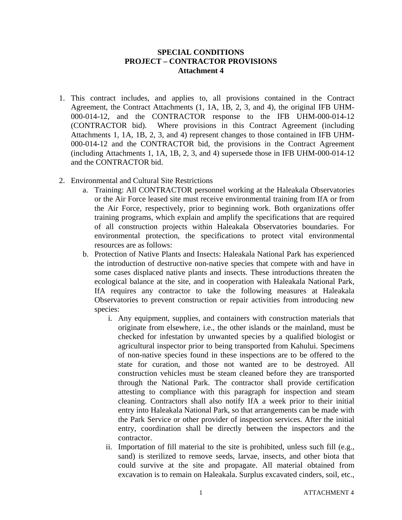## **SPECIAL CONDITIONS PROJECT – CONTRACTOR PROVISIONS Attachment 4**

- 1. This contract includes, and applies to, all provisions contained in the Contract Agreement, the Contract Attachments (1, 1A, 1B, 2, 3, and 4), the original IFB UHM-000-014-12, and the CONTRACTOR response to the IFB UHM-000-014-12 (CONTRACTOR bid). Where provisions in this Contract Agreement (including Attachments 1, 1A, 1B, 2, 3, and 4) represent changes to those contained in IFB UHM-000-014-12 and the CONTRACTOR bid, the provisions in the Contract Agreement (including Attachments 1, 1A, 1B, 2, 3, and 4) supersede those in IFB UHM-000-014-12 and the CONTRACTOR bid.
- 2. Environmental and Cultural Site Restrictions
	- a. Training: All CONTRACTOR personnel working at the Haleakala Observatories or the Air Force leased site must receive environmental training from IfA or from the Air Force, respectively, prior to beginning work. Both organizations offer training programs, which explain and amplify the specifications that are required of all construction projects within Haleakala Observatories boundaries. For environmental protection, the specifications to protect vital environmental resources are as follows:
	- b. Protection of Native Plants and Insects: Haleakala National Park has experienced the introduction of destructive non-native species that compete with and have in some cases displaced native plants and insects. These introductions threaten the ecological balance at the site, and in cooperation with Haleakala National Park, IfA requires any contractor to take the following measures at Haleakala Observatories to prevent construction or repair activities from introducing new species:
		- i. Any equipment, supplies, and containers with construction materials that originate from elsewhere, i.e., the other islands or the mainland, must be checked for infestation by unwanted species by a qualified biologist or agricultural inspector prior to being transported from Kahului. Specimens of non-native species found in these inspections are to be offered to the state for curation, and those not wanted are to be destroyed. All construction vehicles must be steam cleaned before they are transported through the National Park. The contractor shall provide certification attesting to compliance with this paragraph for inspection and steam cleaning. Contractors shall also notify IfA a week prior to their initial entry into Haleakala National Park, so that arrangements can be made with the Park Service or other provider of inspection services. After the initial entry, coordination shall be directly between the inspectors and the contractor.
		- ii. Importation of fill material to the site is prohibited, unless such fill (e.g., sand) is sterilized to remove seeds, larvae, insects, and other biota that could survive at the site and propagate. All material obtained from excavation is to remain on Haleakala. Surplus excavated cinders, soil, etc.,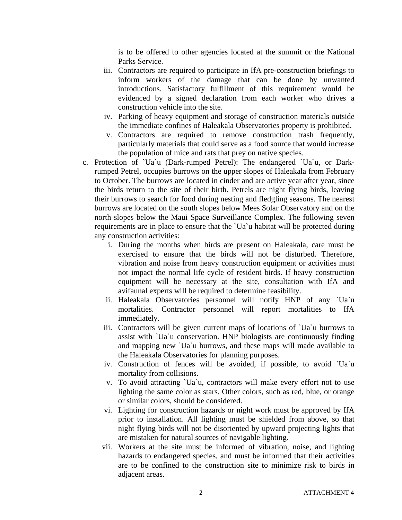is to be offered to other agencies located at the summit or the National Parks Service.

- iii. Contractors are required to participate in IfA pre-construction briefings to inform workers of the damage that can be done by unwanted introductions. Satisfactory fulfillment of this requirement would be evidenced by a signed declaration from each worker who drives a construction vehicle into the site.
- iv. Parking of heavy equipment and storage of construction materials outside the immediate confines of Haleakala Observatories property is prohibited.
- v. Contractors are required to remove construction trash frequently, particularly materials that could serve as a food source that would increase the population of mice and rats that prey on native species.
- c. Protection of `Ua`u (Dark-rumped Petrel): The endangered `Ua`u, or Darkrumped Petrel, occupies burrows on the upper slopes of Haleakala from February to October. The burrows are located in cinder and are active year after year, since the birds return to the site of their birth. Petrels are night flying birds, leaving their burrows to search for food during nesting and fledgling seasons. The nearest burrows are located on the south slopes below Mees Solar Observatory and on the north slopes below the Maui Space Surveillance Complex. The following seven requirements are in place to ensure that the `Ua`u habitat will be protected during any construction activities:
	- i. During the months when birds are present on Haleakala, care must be exercised to ensure that the birds will not be disturbed. Therefore, vibration and noise from heavy construction equipment or activities must not impact the normal life cycle of resident birds. If heavy construction equipment will be necessary at the site, consultation with IfA and avifaunal experts will be required to determine feasibility.
	- ii. Haleakala Observatories personnel will notify HNP of any `Ua`u mortalities. Contractor personnel will report mortalities to IfA immediately.
	- iii. Contractors will be given current maps of locations of `Ua`u burrows to assist with `Ua`u conservation. HNP biologists are continuously finding and mapping new `Ua`u burrows, and these maps will made available to the Haleakala Observatories for planning purposes.
	- iv. Construction of fences will be avoided, if possible, to avoid `Ua`u mortality from collisions.
	- v. To avoid attracting `Ua`u, contractors will make every effort not to use lighting the same color as stars. Other colors, such as red, blue, or orange or similar colors, should be considered.
	- vi. Lighting for construction hazards or night work must be approved by IfA prior to installation. All lighting must be shielded from above, so that night flying birds will not be disoriented by upward projecting lights that are mistaken for natural sources of navigable lighting.
	- vii. Workers at the site must be informed of vibration, noise, and lighting hazards to endangered species, and must be informed that their activities are to be confined to the construction site to minimize risk to birds in adjacent areas.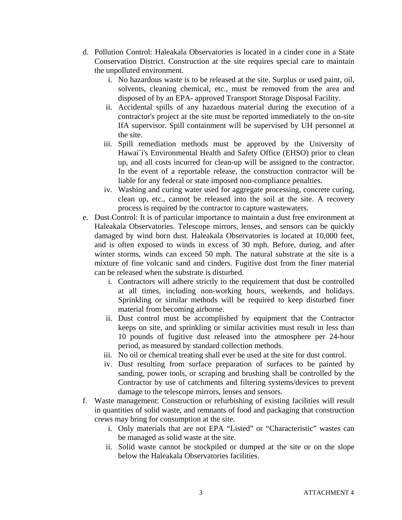- d. Pollution Control: Haleakala Observatories is located in a cinder cone in a State Conservation District. Construction at the site requires special care to maintain the unpolluted environment.
	- i. No hazardous waste is to be released at the site. Surplus or used paint, oil, solvents, cleaning chemical, etc., must be removed from the area and disposed of by an EPA- approved Transport Storage Disposal Facility.
	- ii. Accidental spills of any hazardous material during the execution of a contractor's project at the site must be reported immediately to the on-site IfA supervisor. Spill containment will be supervised by UH personnel at the site.
	- iii. Spill remediation methods must be approved by the University of Hawai`i's Environmental Health and Safety Office (EHSO) prior to clean up, and all costs incurred for clean-up will be assigned to the contractor. In the event of a reportable release, the construction contractor will be liable for any federal or state imposed non-compliance penalties.
	- iv. Washing and curing water used for aggregate processing, concrete curing, clean up, etc., cannot be released into the soil at the site. A recovery process is required by the contractor to capture wastewaters.
- e. Dust Control: It is of particular importance to maintain a dust free environment at Haleakala Observatories. Telescope mirrors, lenses, and sensors can be quickly damaged by wind born dust. Haleakala Observatories is located at 10,000 feet, and is often exposed to winds in excess of 30 mph. Before, during, and after winter storms, winds can exceed 50 mph. The natural substrate at the site is a mixture of fine volcanic sand and cinders. Fugitive dust from the finer material can be released when the substrate is disturbed.
	- i. Contractors will adhere strictly to the requirement that dust be controlled at all times, including non-working hours, weekends, and holidays. Sprinkling or similar methods will be required to keep disturbed finer material from becoming airborne.
	- ii. Dust control must be accomplished by equipment that the Contractor keeps on site, and sprinkling or similar activities must result in less than 10 pounds of fugitive dust released into the atmosphere per 24-hour period, as measured by standard collection methods.
	- iii. No oil or chemical treating shall ever be used at the site for dust control.
	- iv. Dust resulting from surface preparation of surfaces to be painted by sanding, power tools, or scraping and brushing shall be controlled by the Contractor by use of catchments and filtering systems/devices to prevent damage to the telescope mirrors, lenses and sensors.
- f. Waste management: Construction or refurbishing of existing facilities will result in quantities of solid waste, and remnants of food and packaging that construction crews may bring for consumption at the site.
	- i. Only materials that are not EPA "Listed" or "Characteristic" wastes can be managed as solid waste at the site.
	- ii. Solid waste cannot be stockpiled or dumped at the site or on the slope below the Haleakala Observatories facilities.